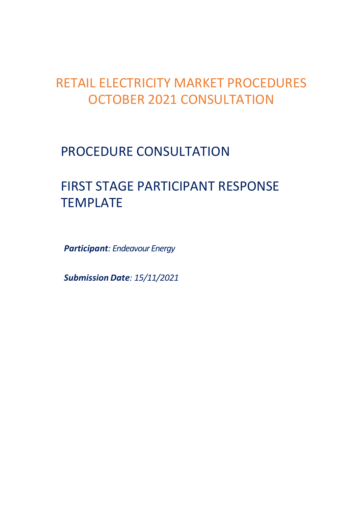# RETAIL ELECTRICITY MARKET PROCEDURES OCTOBER 2021 CONSULTATION

## PROCEDURE CONSULTATION

# FIRST STAGE PARTICIPANT RESPONSE **TEMPLATE**

Participant: Endeavour Energy

Submission Date: 15/11/2021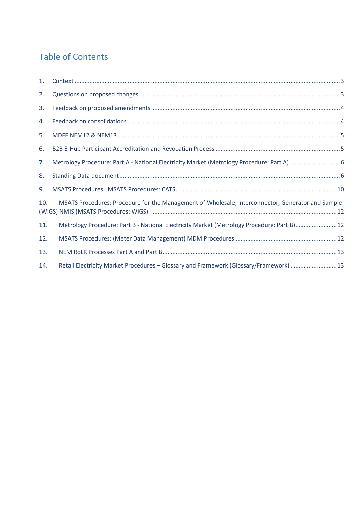#### Table of Contents

| 1.  |                                                                                                   |
|-----|---------------------------------------------------------------------------------------------------|
| 2.  |                                                                                                   |
| 3.  |                                                                                                   |
| 4.  |                                                                                                   |
| 5.  |                                                                                                   |
| 6.  |                                                                                                   |
| 7.  |                                                                                                   |
| 8.  |                                                                                                   |
| 9.  |                                                                                                   |
| 10. | MSATS Procedures: Procedure for the Management of Wholesale, Interconnector, Generator and Sample |
| 11. | Metrology Procedure: Part B - National Electricity Market (Metrology Procedure: Part B) 12        |
| 12. |                                                                                                   |
| 13. |                                                                                                   |
| 14. | Retail Electricity Market Procedures - Glossary and Framework (Glossary/Framework) 13             |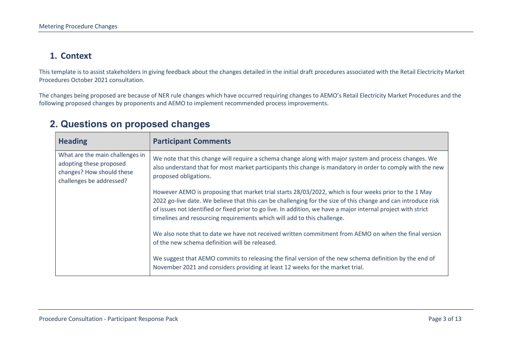#### 1. Context

This template is to assist stakeholders in giving feedback about the changes detailed in the initial draft procedures associated with the Retail Electricity Market Procedures October 2021 consultation.

The changes being proposed are because of NER rule changes which have occurred requiring changes to AEMO's Retail Electricity Market Procedures and the following proposed changes by proponents and AEMO to implement recommended process improvements.

| <b>Heading</b>                                                                                                      | <b>Participant Comments</b>                                                                                                                                                                                                                                                                                                                                                                                        |
|---------------------------------------------------------------------------------------------------------------------|--------------------------------------------------------------------------------------------------------------------------------------------------------------------------------------------------------------------------------------------------------------------------------------------------------------------------------------------------------------------------------------------------------------------|
| What are the main challenges in<br>adopting these proposed<br>changes? How should these<br>challenges be addressed? | We note that this change will require a schema change along with major system and process changes. We<br>also understand that for most market participants this change is mandatory in order to comply with the new<br>proposed obligations.                                                                                                                                                                       |
|                                                                                                                     | However AEMO is proposing that market trial starts 28/03/2022, which is four weeks prior to the 1 May<br>2022 go-live date. We believe that this can be challenging for the size of this change and can introduce risk<br>of issues not identified or fixed prior to go live. In addition, we have a major internal project with strict<br>timelines and resourcing requirements which will add to this challenge. |
|                                                                                                                     | We also note that to date we have not received written commitment from AEMO on when the final version<br>of the new schema definition will be released.                                                                                                                                                                                                                                                            |
|                                                                                                                     | We suggest that AEMO commits to releasing the final version of the new schema definition by the end of<br>November 2021 and considers providing at least 12 weeks for the market trial.                                                                                                                                                                                                                            |

#### 2. Questions on proposed changes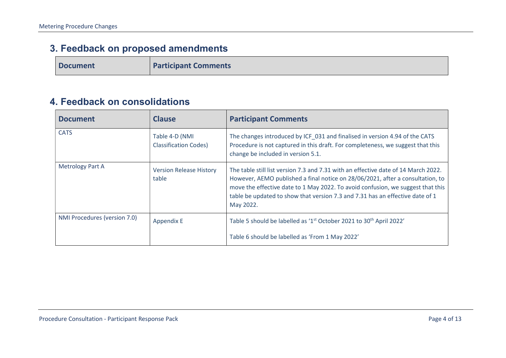### 3. Feedback on proposed amendments

Document **Participant Comments** 

#### 4. Feedback on consolidations

| <b>Document</b>              | <b>Clause</b>                                  | <b>Participant Comments</b>                                                                                                                                                                                                                                                                                                                           |
|------------------------------|------------------------------------------------|-------------------------------------------------------------------------------------------------------------------------------------------------------------------------------------------------------------------------------------------------------------------------------------------------------------------------------------------------------|
| <b>CATS</b>                  | Table 4-D (NMI<br><b>Classification Codes)</b> | The changes introduced by ICF_031 and finalised in version 4.94 of the CATS<br>Procedure is not captured in this draft. For completeness, we suggest that this<br>change be included in version 5.1.                                                                                                                                                  |
| <b>Metrology Part A</b>      | <b>Version Release History</b><br>table        | The table still list version 7.3 and 7.31 with an effective date of 14 March 2022.<br>However, AEMO published a final notice on 28/06/2021, after a consultation, to<br>move the effective date to 1 May 2022. To avoid confusion, we suggest that this<br>table be updated to show that version 7.3 and 7.31 has an effective date of 1<br>May 2022. |
| NMI Procedures (version 7.0) | <b>Appendix E</b>                              | Table 5 should be labelled as '1 <sup>st</sup> October 2021 to 30 <sup>th</sup> April 2022'<br>Table 6 should be labelled as 'From 1 May 2022'                                                                                                                                                                                                        |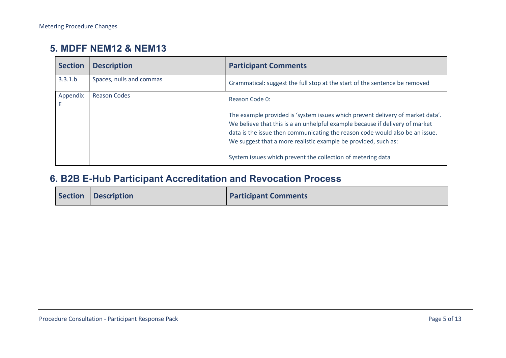#### 5. MDFF NEM12 & NEM13

| <b>Section</b> | <b>Description</b>       | <b>Participant Comments</b>                                                                                                                                                                                                                                                                                                                                                     |
|----------------|--------------------------|---------------------------------------------------------------------------------------------------------------------------------------------------------------------------------------------------------------------------------------------------------------------------------------------------------------------------------------------------------------------------------|
| 3.3.1.b        | Spaces, nulls and commas | Grammatical: suggest the full stop at the start of the sentence be removed                                                                                                                                                                                                                                                                                                      |
| Appendix       | <b>Reason Codes</b>      | Reason Code 0:                                                                                                                                                                                                                                                                                                                                                                  |
|                |                          | The example provided is 'system issues which prevent delivery of market data'.<br>We believe that this is a an unhelpful example because if delivery of market<br>data is the issue then communicating the reason code would also be an issue.<br>We suggest that a more realistic example be provided, such as:<br>System issues which prevent the collection of metering data |

#### 6. B2B E-Hub Participant Accreditation and Revocation Process

| Section Description | <b>Participant Comments</b> |
|---------------------|-----------------------------|
|                     |                             |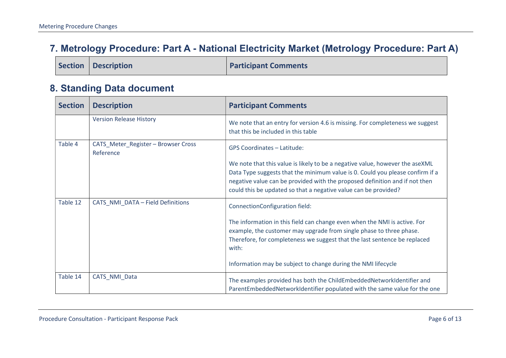#### 7. Metrology Procedure: Part A - National Electricity Market (Metrology Procedure: Part A)

|  | Section   Description | <b>Participant Comments</b> |
|--|-----------------------|-----------------------------|
|--|-----------------------|-----------------------------|

#### 8. Standing Data document

| <b>Section</b> | <b>Description</b>                             | <b>Participant Comments</b>                                                                                                                                                                                                                                                                                     |
|----------------|------------------------------------------------|-----------------------------------------------------------------------------------------------------------------------------------------------------------------------------------------------------------------------------------------------------------------------------------------------------------------|
|                | <b>Version Release History</b>                 | We note that an entry for version 4.6 is missing. For completeness we suggest<br>that this be included in this table                                                                                                                                                                                            |
| Table 4        | CATS_Meter_Register-Browser Cross<br>Reference | <b>GPS Coordinates - Latitude:</b>                                                                                                                                                                                                                                                                              |
|                |                                                | We note that this value is likely to be a negative value, however the aseXML<br>Data Type suggests that the minimum value is 0. Could you please confirm if a<br>negative value can be provided with the proposed definition and if not then<br>could this be updated so that a negative value can be provided? |
| Table 12       | CATS_NMI_DATA - Field Definitions              | ConnectionConfiguration field:                                                                                                                                                                                                                                                                                  |
|                |                                                | The information in this field can change even when the NMI is active. For<br>example, the customer may upgrade from single phase to three phase.<br>Therefore, for completeness we suggest that the last sentence be replaced<br>with:                                                                          |
|                |                                                | Information may be subject to change during the NMI lifecycle                                                                                                                                                                                                                                                   |
| Table 14       | CATS NMI Data                                  | The examples provided has both the ChildEmbeddedNetworkIdentifier and<br>ParentEmbeddedNetworkIdentifier populated with the same value for the one                                                                                                                                                              |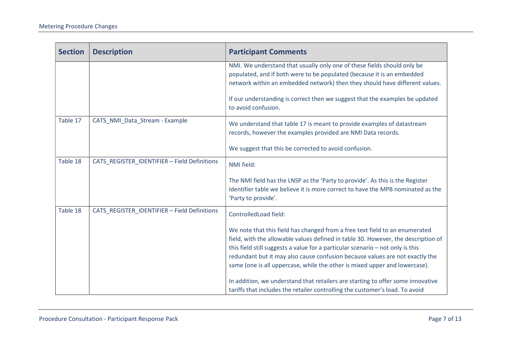| <b>Section</b> | <b>Description</b>                           | <b>Participant Comments</b>                                                                                                                                                                                                                                                                                                                                                                                                                                                                                                                                                         |
|----------------|----------------------------------------------|-------------------------------------------------------------------------------------------------------------------------------------------------------------------------------------------------------------------------------------------------------------------------------------------------------------------------------------------------------------------------------------------------------------------------------------------------------------------------------------------------------------------------------------------------------------------------------------|
|                |                                              | NMI. We understand that usually only one of these fields should only be<br>populated, and if both were to be populated (because it is an embedded<br>network within an embedded network) then they should have different values.                                                                                                                                                                                                                                                                                                                                                    |
|                |                                              | If our understanding is correct then we suggest that the examples be updated<br>to avoid confusion.                                                                                                                                                                                                                                                                                                                                                                                                                                                                                 |
| Table 17       | CATS_NMI_Data_Stream - Example               | We understand that table 17 is meant to provide examples of datastream<br>records, however the examples provided are NMI Data records.                                                                                                                                                                                                                                                                                                                                                                                                                                              |
|                |                                              | We suggest that this be corrected to avoid confusion.                                                                                                                                                                                                                                                                                                                                                                                                                                                                                                                               |
| Table 18       | CATS_REGISTER_IDENTIFIER - Field Definitions | NMI field:                                                                                                                                                                                                                                                                                                                                                                                                                                                                                                                                                                          |
|                |                                              | The NMI field has the LNSP as the 'Party to provide'. As this is the Register<br>Identifier table we believe it is more correct to have the MPB nominated as the<br>'Party to provide'.                                                                                                                                                                                                                                                                                                                                                                                             |
| Table 18       | CATS_REGISTER_IDENTIFIER - Field Definitions | ControlledLoad field:                                                                                                                                                                                                                                                                                                                                                                                                                                                                                                                                                               |
|                |                                              | We note that this field has changed from a free text field to an enumerated<br>field, with the allowable values defined in table 30. However, the description of<br>this field still suggests a value for a particular scenario - not only is this<br>redundant but it may also cause confusion because values are not exactly the<br>same (one is all uppercase, while the other is mixed upper and lowercase).<br>In addition, we understand that retailers are starting to offer some innovative<br>tariffs that includes the retailer controlling the customer's load. To avoid |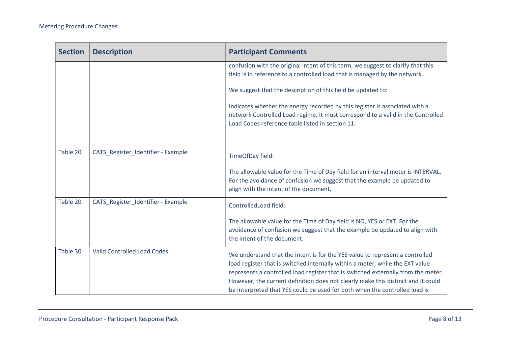| <b>Section</b> | <b>Description</b>                 | <b>Participant Comments</b>                                                                                                                                                                                                                                                                                                                                                                                          |
|----------------|------------------------------------|----------------------------------------------------------------------------------------------------------------------------------------------------------------------------------------------------------------------------------------------------------------------------------------------------------------------------------------------------------------------------------------------------------------------|
|                |                                    | confusion with the original intent of this term, we suggest to clarify that this<br>field is in reference to a controlled load that is managed by the network.                                                                                                                                                                                                                                                       |
|                |                                    | We suggest that the description of this field be updated to:                                                                                                                                                                                                                                                                                                                                                         |
|                |                                    | Indicates whether the energy recorded by this register is associated with a<br>network Controlled Load regime. It must correspond to a valid in the Controlled<br>Load Codes reference table listed in section 11.                                                                                                                                                                                                   |
| Table 20       | CATS_Register_Identifier - Example | TimeOfDay field:                                                                                                                                                                                                                                                                                                                                                                                                     |
|                |                                    | The allowable value for the Time of Day field for an interval meter is INTERVAL.<br>For the avoidance of confusion we suggest that the example be updated to<br>align with the intent of the document.                                                                                                                                                                                                               |
| Table 20       | CATS_Register_Identifier - Example | ControlledLoad field:                                                                                                                                                                                                                                                                                                                                                                                                |
|                |                                    | The allowable value for the Time of Day field is NO, YES or EXT. For the<br>avoidance of confusion we suggest that the example be updated to align with<br>the intent of the document.                                                                                                                                                                                                                               |
| Table 30       | <b>Valid Controlled Load Codes</b> | We understand that the intent is for the YES value to represent a controlled<br>load register that is switched internally within a meter, while the EXT value<br>represents a controlled load register that is switched externally from the meter.<br>However, the current definition does not clearly make this distinct and it could<br>be interpreted that YES could be used for both when the controlled load is |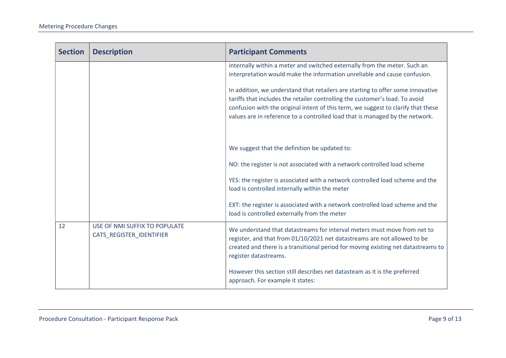| <b>Section</b> | <b>Description</b>                                        | <b>Participant Comments</b>                                                                                                                                                                                                                                                                                                          |
|----------------|-----------------------------------------------------------|--------------------------------------------------------------------------------------------------------------------------------------------------------------------------------------------------------------------------------------------------------------------------------------------------------------------------------------|
|                |                                                           | internally within a meter and switched externally from the meter. Such an<br>interpretation would make the information unreliable and cause confusion.                                                                                                                                                                               |
|                |                                                           | In addition, we understand that retailers are starting to offer some innovative<br>tariffs that includes the retailer controlling the customer's load. To avoid<br>confusion with the original intent of this term, we suggest to clarify that these<br>values are in reference to a controlled load that is managed by the network. |
|                |                                                           | We suggest that the definition be updated to:                                                                                                                                                                                                                                                                                        |
|                |                                                           | NO: the register is not associated with a network controlled load scheme                                                                                                                                                                                                                                                             |
|                |                                                           | YES: the register is associated with a network controlled load scheme and the<br>load is controlled internally within the meter                                                                                                                                                                                                      |
|                |                                                           | EXT: the register is associated with a network controlled load scheme and the<br>load is controlled externally from the meter                                                                                                                                                                                                        |
| 12             | USE OF NMI SUFFIX TO POPULATE<br>CATS_REGISTER_IDENTIFIER | We understand that datastreams for interval meters must move from net to<br>register, and that from 01/10/2021 net datastreams are not allowed to be<br>created and there is a transitional period for moving existing net datastreams to<br>register datastreams.                                                                   |
|                |                                                           | However this section still describes net datasteam as it is the preferred<br>approach. For example it states:                                                                                                                                                                                                                        |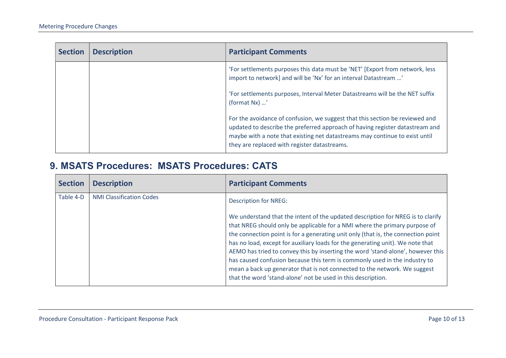| <b>Section</b> | <b>Description</b> | <b>Participant Comments</b>                                                                                                                                                                                                                                                                 |
|----------------|--------------------|---------------------------------------------------------------------------------------------------------------------------------------------------------------------------------------------------------------------------------------------------------------------------------------------|
|                |                    | 'For settlements purposes this data must be 'NET' [Export from network, less<br>import to network] and will be 'Nx' for an interval Datastream '                                                                                                                                            |
|                |                    | 'For settlements purposes, Interval Meter Datastreams will be the NET suffix<br>(format Nx) '                                                                                                                                                                                               |
|                |                    | For the avoidance of confusion, we suggest that this section be reviewed and<br>updated to describe the preferred approach of having register datastream and<br>maybe with a note that existing net datastreams may continue to exist until<br>they are replaced with register datastreams. |

#### 9. MSATS Procedures: MSATS Procedures: CATS

| <b>Section</b> | <b>Description</b>              | <b>Participant Comments</b>                                                                                                                                                                                                                                                                                                                                                                                                                                                                                                                                                                                        |
|----------------|---------------------------------|--------------------------------------------------------------------------------------------------------------------------------------------------------------------------------------------------------------------------------------------------------------------------------------------------------------------------------------------------------------------------------------------------------------------------------------------------------------------------------------------------------------------------------------------------------------------------------------------------------------------|
| Table 4-D      | <b>NMI Classification Codes</b> | <b>Description for NREG:</b><br>We understand that the intent of the updated description for NREG is to clarify<br>that NREG should only be applicable for a NMI where the primary purpose of<br>the connection point is for a generating unit only (that is, the connection point<br>has no load, except for auxiliary loads for the generating unit). We note that<br>AEMO has tried to convey this by inserting the word 'stand-alone', however this<br>has caused confusion because this term is commonly used in the industry to<br>mean a back up generator that is not connected to the network. We suggest |
|                |                                 | that the word 'stand-alone' not be used in this description.                                                                                                                                                                                                                                                                                                                                                                                                                                                                                                                                                       |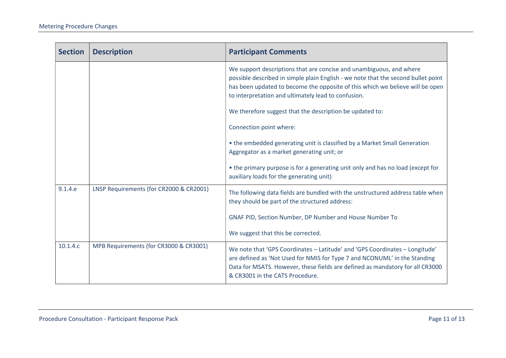| <b>Section</b> | <b>Description</b>                      | <b>Participant Comments</b>                                                                                                                                                                                                                                                                      |
|----------------|-----------------------------------------|--------------------------------------------------------------------------------------------------------------------------------------------------------------------------------------------------------------------------------------------------------------------------------------------------|
|                |                                         | We support descriptions that are concise and unambiguous, and where<br>possible described in simple plain English - we note that the second bullet point<br>has been updated to become the opposite of this which we believe will be open<br>to interpretation and ultimately lead to confusion. |
|                |                                         | We therefore suggest that the description be updated to:                                                                                                                                                                                                                                         |
|                |                                         | Connection point where:                                                                                                                                                                                                                                                                          |
|                |                                         | • the embedded generating unit is classified by a Market Small Generation<br>Aggregator as a market generating unit; or                                                                                                                                                                          |
|                |                                         | • the primary purpose is for a generating unit only and has no load (except for<br>auxiliary loads for the generating unit)                                                                                                                                                                      |
| 9.1.4.e        | LNSP Requirements (for CR2000 & CR2001) | The following data fields are bundled with the unstructured address table when<br>they should be part of the structured address:                                                                                                                                                                 |
|                |                                         | GNAF PID, Section Number, DP Number and House Number To                                                                                                                                                                                                                                          |
|                |                                         | We suggest that this be corrected.                                                                                                                                                                                                                                                               |
| 10.1.4.c       | MPB Requirements (for CR3000 & CR3001)  | We note that 'GPS Coordinates - Latitude' and 'GPS Coordinates - Longitude'<br>are defined as 'Not Used for NMIS for Type 7 and NCONUML' in the Standing<br>Data for MSATS. However, these fields are defined as mandatory for all CR3000<br>& CR3001 in the CATS Procedure.                     |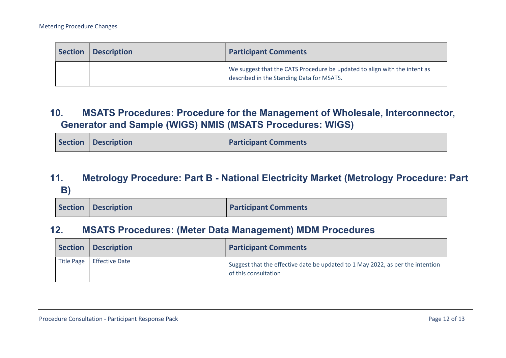| Section | <b>Description</b> | <b>Participant Comments</b>                                                                                            |
|---------|--------------------|------------------------------------------------------------------------------------------------------------------------|
|         |                    | We suggest that the CATS Procedure be updated to align with the intent as<br>described in the Standing Data for MSATS. |

#### 10. MSATS Procedures: Procedure for the Management of Wholesale, Interconnector, Generator and Sample (WIGS) NMIS (MSATS Procedures: WIGS)

|  | Section   Description | <b>Participant Comments</b> |
|--|-----------------------|-----------------------------|
|--|-----------------------|-----------------------------|

#### 11. Metrology Procedure: Part B - National Electricity Market (Metrology Procedure: Part B)

|  | Section   Description | <b>Participant Comments</b> |
|--|-----------------------|-----------------------------|
|--|-----------------------|-----------------------------|

#### 12. MSATS Procedures: (Meter Data Management) MDM Procedures

| <b>Section</b> | <b>Description</b>          | <b>Participant Comments</b>                                                                            |
|----------------|-----------------------------|--------------------------------------------------------------------------------------------------------|
|                | Title Page   Effective Date | Suggest that the effective date be updated to 1 May 2022, as per the intention<br>of this consultation |